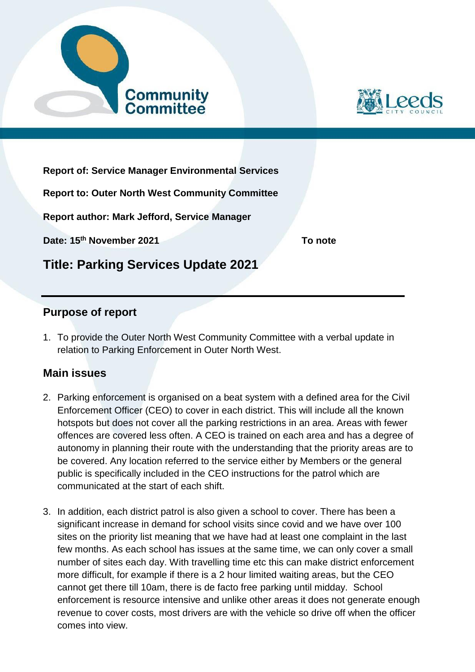



**Report of: Service Manager Environmental Services** 

**Report to: Outer North West Community Committee**

**Report author: Mark Jefford, Service Manager** 

**Date: 15 th November 2021 To note**

**Title: Parking Services Update 2021**

## **Purpose of report**

1. To provide the Outer North West Community Committee with a verbal update in relation to Parking Enforcement in Outer North West.

## **Main issues**

- 2. Parking enforcement is organised on a beat system with a defined area for the Civil Enforcement Officer (CEO) to cover in each district. This will include all the known hotspots but does not cover all the parking restrictions in an area. Areas with fewer offences are covered less often. A CEO is trained on each area and has a degree of autonomy in planning their route with the understanding that the priority areas are to be covered. Any location referred to the service either by Members or the general public is specifically included in the CEO instructions for the patrol which are communicated at the start of each shift.
- 3. In addition, each district patrol is also given a school to cover. There has been a significant increase in demand for school visits since covid and we have over 100 sites on the priority list meaning that we have had at least one complaint in the last few months. As each school has issues at the same time, we can only cover a small number of sites each day. With travelling time etc this can make district enforcement more difficult, for example if there is a 2 hour limited waiting areas, but the CEO cannot get there till 10am, there is de facto free parking until midday. School enforcement is resource intensive and unlike other areas it does not generate enough revenue to cover costs, most drivers are with the vehicle so drive off when the officer comes into view.